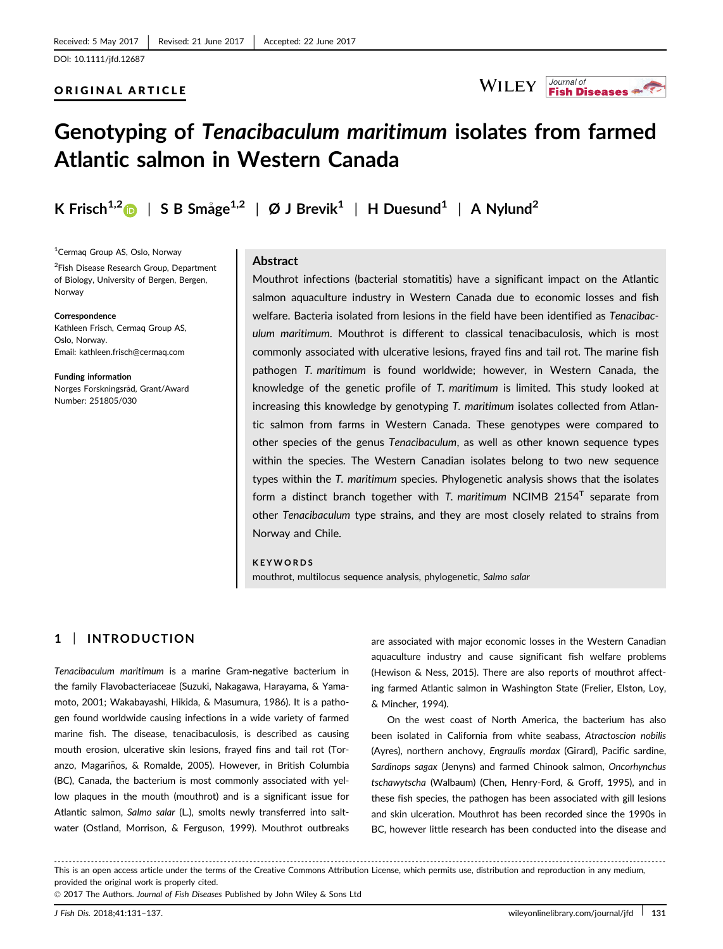#### ORIGINAL ARTICLE



# Genotyping of Tenacibaculum maritimum isolates from farmed Atlantic salmon in Western Canada

K Frisch<sup>1,2</sup> | S B Småge<sup>1,2</sup> | Ø J Brevik<sup>1</sup> | H Duesund<sup>1</sup> | A Nylund<sup>2</sup>

1 Cermaq Group AS, Oslo, Norway <sup>2</sup>Fish Disease Research Group, Department of Biology, University of Bergen, Bergen, Norway

Correspondence Kathleen Frisch, Cermaq Group AS, Oslo, Norway. Email: kathleen.frisch@cermaq.com

Funding information Norges Forskningsråd, Grant/Award Number: 251805/030

### **Abstract**

Mouthrot infections (bacterial stomatitis) have a significant impact on the Atlantic salmon aquaculture industry in Western Canada due to economic losses and fish welfare. Bacteria isolated from lesions in the field have been identified as Tenacibaculum maritimum. Mouthrot is different to classical tenacibaculosis, which is most commonly associated with ulcerative lesions, frayed fins and tail rot. The marine fish pathogen T. maritimum is found worldwide; however, in Western Canada, the knowledge of the genetic profile of T. maritimum is limited. This study looked at increasing this knowledge by genotyping T. maritimum isolates collected from Atlantic salmon from farms in Western Canada. These genotypes were compared to other species of the genus Tenacibaculum, as well as other known sequence types within the species. The Western Canadian isolates belong to two new sequence types within the T. maritimum species. Phylogenetic analysis shows that the isolates form a distinct branch together with T. maritimum NCIMB 2154<sup>T</sup> separate from other Tenacibaculum type strains, and they are most closely related to strains from Norway and Chile.

**KEYWORDS** 

mouthrot, multilocus sequence analysis, phylogenetic, Salmo salar

## 1 | INTRODUCTION

Tenacibaculum maritimum is a marine Gram-negative bacterium in the family Flavobacteriaceae (Suzuki, Nakagawa, Harayama, & Yamamoto, 2001; Wakabayashi, Hikida, & Masumura, 1986). It is a pathogen found worldwide causing infections in a wide variety of farmed marine fish. The disease, tenacibaculosis, is described as causing mouth erosion, ulcerative skin lesions, frayed fins and tail rot (Toranzo, Magariños, & Romalde, 2005). However, in British Columbia (BC), Canada, the bacterium is most commonly associated with yellow plaques in the mouth (mouthrot) and is a significant issue for Atlantic salmon, Salmo salar (L.), smolts newly transferred into saltwater (Ostland, Morrison, & Ferguson, 1999). Mouthrot outbreaks

are associated with major economic losses in the Western Canadian aquaculture industry and cause significant fish welfare problems (Hewison & Ness, 2015). There are also reports of mouthrot affecting farmed Atlantic salmon in Washington State (Frelier, Elston, Loy, & Mincher, 1994).

On the west coast of North America, the bacterium has also been isolated in California from white seabass, Atractoscion nobilis (Ayres), northern anchovy, Engraulis mordax (Girard), Pacific sardine, Sardinops sagax (Jenyns) and farmed Chinook salmon, Oncorhynchus tschawytscha (Walbaum) (Chen, Henry-Ford, & Groff, 1995), and in these fish species, the pathogen has been associated with gill lesions and skin ulceration. Mouthrot has been recorded since the 1990s in BC, however little research has been conducted into the disease and

------------------------------------------------------------------------------------------------------------------------------- --------------------------------------- This is an open access article under the terms of the [Creative Commons Attribution](http://creativecommons.org/licenses/by/4.0/) License, which permits use, distribution and reproduction in any medium, provided the original work is properly cited.

© 2017 The Authors. Journal of Fish Diseases Published by John Wiley & Sons Ltd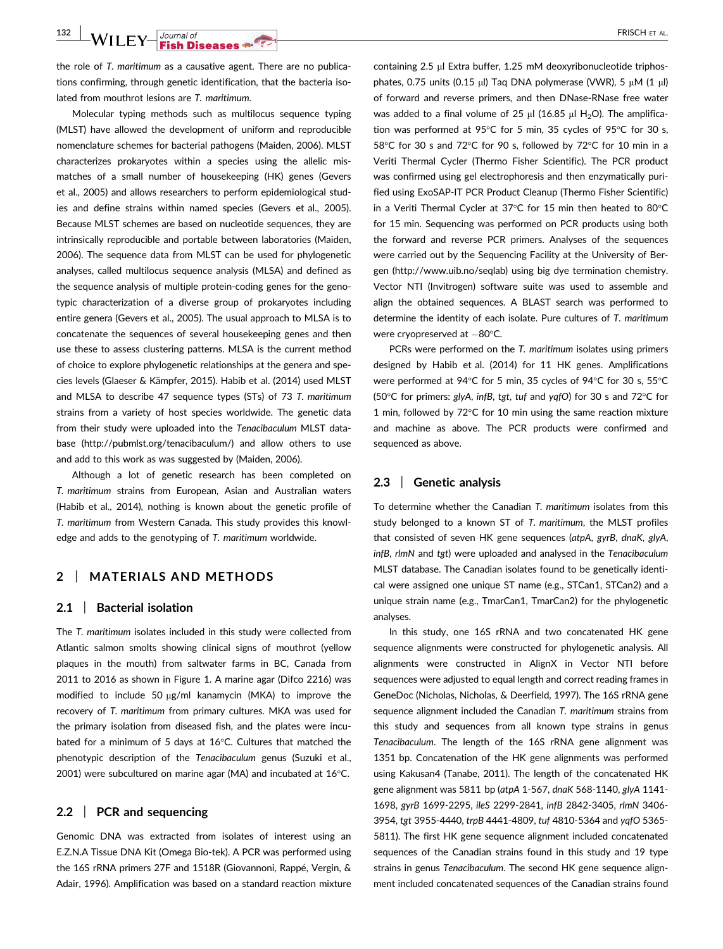132 WILEY-Gournal of FRISCH ET AL.

the role of T. maritimum as a causative agent. There are no publications confirming, through genetic identification, that the bacteria isolated from mouthrot lesions are T. maritimum.

Molecular typing methods such as multilocus sequence typing (MLST) have allowed the development of uniform and reproducible nomenclature schemes for bacterial pathogens (Maiden, 2006). MLST characterizes prokaryotes within a species using the allelic mismatches of a small number of housekeeping (HK) genes (Gevers et al., 2005) and allows researchers to perform epidemiological studies and define strains within named species (Gevers et al., 2005). Because MLST schemes are based on nucleotide sequences, they are intrinsically reproducible and portable between laboratories (Maiden, 2006). The sequence data from MLST can be used for phylogenetic analyses, called multilocus sequence analysis (MLSA) and defined as the sequence analysis of multiple protein-coding genes for the genotypic characterization of a diverse group of prokaryotes including entire genera (Gevers et al., 2005). The usual approach to MLSA is to concatenate the sequences of several housekeeping genes and then use these to assess clustering patterns. MLSA is the current method of choice to explore phylogenetic relationships at the genera and species levels (Glaeser & Kämpfer, 2015). Habib et al. (2014) used MLST and MLSA to describe 47 sequence types (STs) of 73 T. maritimum strains from a variety of host species worldwide. The genetic data from their study were uploaded into the Tenacibaculum MLST database [\(http://pubmlst.org/tenacibaculum/\)](http://pubmlst.org/tenacibaculum/) and allow others to use and add to this work as was suggested by (Maiden, 2006).

Although a lot of genetic research has been completed on T. maritimum strains from European, Asian and Australian waters (Habib et al., 2014), nothing is known about the genetic profile of T. maritimum from Western Canada. This study provides this knowledge and adds to the genotyping of T. maritimum worldwide.

# 2 | MATERIALS AND METHODS

#### 2.1 | Bacterial isolation

The T. maritimum isolates included in this study were collected from Atlantic salmon smolts showing clinical signs of mouthrot (yellow plaques in the mouth) from saltwater farms in BC, Canada from 2011 to 2016 as shown in Figure 1. A marine agar (Difco 2216) was modified to include 50  $\mu$ g/ml kanamycin (MKA) to improve the recovery of T. maritimum from primary cultures. MKA was used for the primary isolation from diseased fish, and the plates were incubated for a minimum of 5 days at 16°C. Cultures that matched the phenotypic description of the Tenacibaculum genus (Suzuki et al., 2001) were subcultured on marine agar (MA) and incubated at 16°C.

#### 2.2 | PCR and sequencing

Genomic DNA was extracted from isolates of interest using an E.Z.N.A Tissue DNA Kit (Omega Bio-tek). A PCR was performed using the 16S rRNA primers 27F and 1518R (Giovannoni, Rappé, Vergin, & Adair, 1996). Amplification was based on a standard reaction mixture containing 2.5 µl Extra buffer, 1.25 mM deoxyribonucleotide triphosphates, 0.75 units  $(0.15 \text{ ul})$  Taq DNA polymerase (VWR), 5  $\mu$ M (1  $\mu$ l) of forward and reverse primers, and then DNase-RNase free water was added to a final volume of 25  $\mu$ l (16.85  $\mu$ l H<sub>2</sub>O). The amplification was performed at 95°C for 5 min, 35 cycles of 95°C for 30 s, 58°C for 30 s and 72°C for 90 s, followed by 72°C for 10 min in a Veriti Thermal Cycler (Thermo Fisher Scientific). The PCR product was confirmed using gel electrophoresis and then enzymatically purified using ExoSAP-IT PCR Product Cleanup (Thermo Fisher Scientific) in a Veriti Thermal Cycler at 37°C for 15 min then heated to 80°C for 15 min. Sequencing was performed on PCR products using both the forward and reverse PCR primers. Analyses of the sequences were carried out by the Sequencing Facility at the University of Bergen [\(http://www.uib.no/seqlab](http://www.uib.no/seqlab)) using big dye termination chemistry. Vector NTI (Invitrogen) software suite was used to assemble and align the obtained sequences. A BLAST search was performed to determine the identity of each isolate. Pure cultures of T. maritimum were cryopreserved at  $-80^{\circ}$ C.

PCRs were performed on the T. maritimum isolates using primers designed by Habib et al. (2014) for 11 HK genes. Amplifications were performed at 94°C for 5 min, 35 cycles of 94°C for 30 s, 55°C (50°C for primers: glyA, infB, tgt, tuf and yqfO) for 30 s and 72°C for 1 min, followed by 72°C for 10 min using the same reaction mixture and machine as above. The PCR products were confirmed and sequenced as above.

#### 2.3 | Genetic analysis

To determine whether the Canadian T. maritimum isolates from this study belonged to a known ST of T. maritimum, the MLST profiles that consisted of seven HK gene sequences (atpA, gyrB, dnaK, glyA, infB, rlmN and tgt) were uploaded and analysed in the Tenacibaculum MLST database. The Canadian isolates found to be genetically identical were assigned one unique ST name (e.g., STCan1, STCan2) and a unique strain name (e.g., TmarCan1, TmarCan2) for the phylogenetic analyses.

In this study, one 16S rRNA and two concatenated HK gene sequence alignments were constructed for phylogenetic analysis. All alignments were constructed in AlignX in Vector NTI before sequences were adjusted to equal length and correct reading frames in GeneDoc (Nicholas, Nicholas, & Deerfield, 1997). The 16S rRNA gene sequence alignment included the Canadian T. maritimum strains from this study and sequences from all known type strains in genus Tenacibaculum. The length of the 16S rRNA gene alignment was 1351 bp. Concatenation of the HK gene alignments was performed using Kakusan4 (Tanabe, 2011). The length of the concatenated HK gene alignment was 5811 bp (atpA 1-567, dnaK 568-1140, glyA 1141- 1698, gyrB 1699-2295, ileS 2299-2841, infB 2842-3405, rlmN 3406- 3954, tgt 3955-4440, trpB 4441-4809, tuf 4810-5364 and yqfO 5365- 5811). The first HK gene sequence alignment included concatenated sequences of the Canadian strains found in this study and 19 type strains in genus Tenacibaculum. The second HK gene sequence alignment included concatenated sequences of the Canadian strains found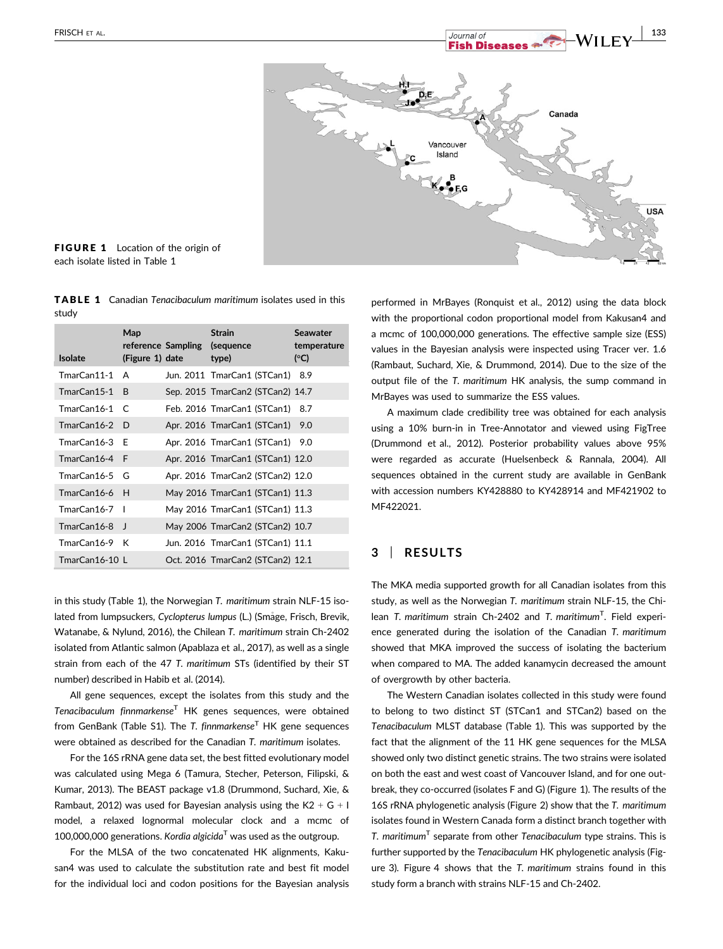

FIGURE 1 Location of the origin of each isolate listed in Table 1

TABLE 1 Canadian Tenacibaculum maritimum isolates used in this study

| <b>Isolate</b>  | Map<br>(Figure 1) date | reference Sampling | <b>Strain</b><br>(sequence<br>type) | <b>Seawater</b><br>temperature<br>(C) |
|-----------------|------------------------|--------------------|-------------------------------------|---------------------------------------|
| TmarCan11-1     | Α                      |                    | Jun. 2011 TmarCan1 (STCan1)         | 8.9                                   |
| TmarCan15-1     | <sub>R</sub>           |                    | Sep. 2015 TmarCan2 (STCan2) 14.7    |                                       |
| TmarCan16-1     | $\epsilon$             |                    | Feb. 2016 TmarCan1 (STCan1)         | 8.7                                   |
| TmarCan16-2     | D.                     |                    | Apr. 2016 TmarCan1 (STCan1)         | 9.0                                   |
| $TmarCan16-3 F$ |                        |                    | Apr. 2016 TmarCan1 (STCan1)         | 9.0                                   |
| TmarCan16-4 F   |                        |                    | Apr. 2016 TmarCan1 (STCan1) 12.0    |                                       |
| $TmarCan16-5$ G |                        |                    | Apr. 2016 TmarCan2 (STCan2) 12.0    |                                       |
| TmarCan16-6 H   |                        |                    | May 2016 TmarCan1 (STCan1) 11.3     |                                       |
| TmarCan16-7     |                        |                    | May 2016 TmarCan1 (STCan1) 11.3     |                                       |
| TmarCan16-8 J   |                        |                    | May 2006 TmarCan2 (STCan2) 10.7     |                                       |
| TmarCan16-9 K   |                        |                    | Jun. 2016 TmarCan1 (STCan1) 11.1    |                                       |
| TmarCan16-10 L  |                        |                    | Oct. 2016 TmarCan2 (STCan2) 12.1    |                                       |

in this study (Table 1), the Norwegian T. maritimum strain NLF-15 isolated from lumpsuckers, Cyclopterus lumpus (L.) (Småge, Frisch, Brevik, Watanabe, & Nylund, 2016), the Chilean T. maritimum strain Ch-2402 isolated from Atlantic salmon (Apablaza et al., 2017), as well as a single strain from each of the 47 T. maritimum STs (identified by their ST number) described in Habib et al. (2014).

All gene sequences, except the isolates from this study and the Tenacibaculum finnmarkense<sup>T</sup> HK genes sequences, were obtained from GenBank (Table S1). The T. finnmarkense<sup>T</sup> HK gene sequences were obtained as described for the Canadian T. maritimum isolates.

For the 16S rRNA gene data set, the best fitted evolutionary model was calculated using Mega 6 (Tamura, Stecher, Peterson, Filipski, & Kumar, 2013). The BEAST package v1.8 (Drummond, Suchard, Xie, & Rambaut, 2012) was used for Bayesian analysis using the K2  $+$  G  $+$  I model, a relaxed lognormal molecular clock and a mcmc of 100,000,000 generations. Kordia algicida<sup>T</sup> was used as the outgroup.

For the MLSA of the two concatenated HK alignments, Kakusan4 was used to calculate the substitution rate and best fit model for the individual loci and codon positions for the Bayesian analysis performed in MrBayes (Ronquist et al., 2012) using the data block with the proportional codon proportional model from Kakusan4 and a mcmc of 100,000,000 generations. The effective sample size (ESS) values in the Bayesian analysis were inspected using Tracer ver. 1.6 (Rambaut, Suchard, Xie, & Drummond, 2014). Due to the size of the output file of the T. maritimum HK analysis, the sump command in MrBayes was used to summarize the ESS values.

A maximum clade credibility tree was obtained for each analysis using a 10% burn-in in Tree-Annotator and viewed using FigTree (Drummond et al., 2012). Posterior probability values above 95% were regarded as accurate (Huelsenbeck & Rannala, 2004). All sequences obtained in the current study are available in GenBank with accession numbers [KY428880](http://www.ncbi.nlm.nih.gov/nuccore/KY428880) to [KY428914](http://www.ncbi.nlm.nih.gov/nuccore/KY428914) and MF421902 to MF422021.

# 3 | RESULTS

The MKA media supported growth for all Canadian isolates from this study, as well as the Norwegian T. maritimum strain NLF-15, the Chilean T. maritimum strain Ch-2402 and T. maritimum<sup>T</sup>. Field experience generated during the isolation of the Canadian T. maritimum showed that MKA improved the success of isolating the bacterium when compared to MA. The added kanamycin decreased the amount of overgrowth by other bacteria.

The Western Canadian isolates collected in this study were found to belong to two distinct ST (STCan1 and STCan2) based on the Tenacibaculum MLST database (Table 1). This was supported by the fact that the alignment of the 11 HK gene sequences for the MLSA showed only two distinct genetic strains. The two strains were isolated on both the east and west coast of Vancouver Island, and for one outbreak, they co-occurred (isolates F and G) (Figure 1). The results of the 16S rRNA phylogenetic analysis (Figure 2) show that the T. maritimum isolates found in Western Canada form a distinct branch together with T. maritimum<sup>T</sup> separate from other Tenacibaculum type strains. This is further supported by the Tenacibaculum HK phylogenetic analysis (Figure 3). Figure 4 shows that the T. maritimum strains found in this study form a branch with strains NLF-15 and Ch-2402.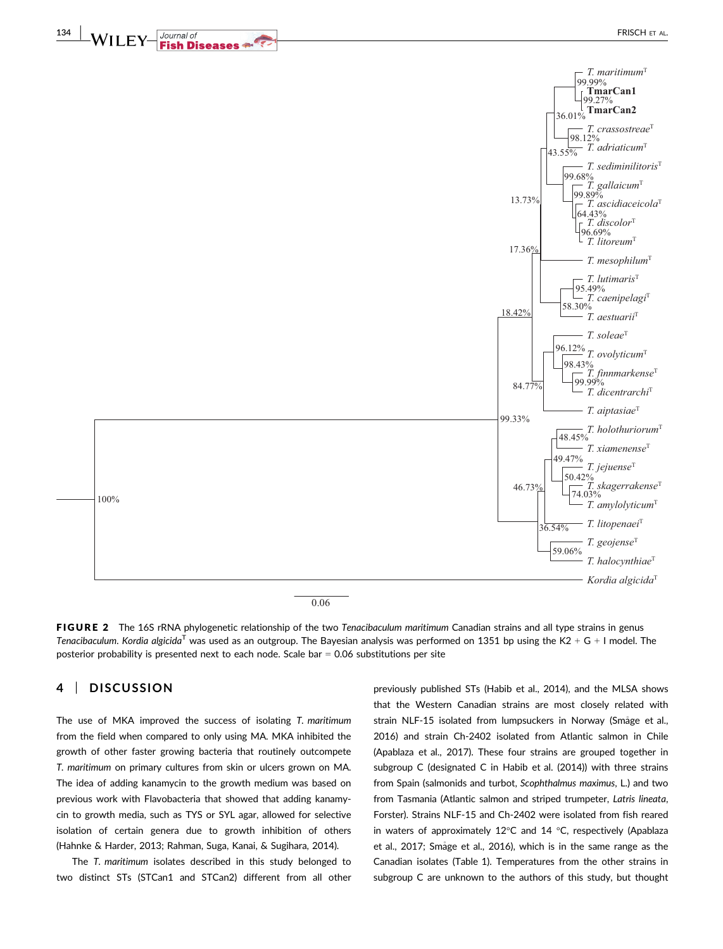

0.06

FIGURE 2 The 16S rRNA phylogenetic relationship of the two Tenacibaculum maritimum Canadian strains and all type strains in genus Tenacibaculum. Kordia algicida<sup>T</sup> was used as an outgroup. The Bayesian analysis was performed on 1351 bp using the K2 + G + I model. The posterior probability is presented next to each node. Scale bar  $= 0.06$  substitutions per site

# 4 | DISCUSSION

The use of MKA improved the success of isolating T. maritimum from the field when compared to only using MA. MKA inhibited the growth of other faster growing bacteria that routinely outcompete T. maritimum on primary cultures from skin or ulcers grown on MA. The idea of adding kanamycin to the growth medium was based on previous work with Flavobacteria that showed that adding kanamycin to growth media, such as TYS or SYL agar, allowed for selective isolation of certain genera due to growth inhibition of others (Hahnke & Harder, 2013; Rahman, Suga, Kanai, & Sugihara, 2014).

The T. maritimum isolates described in this study belonged to two distinct STs (STCan1 and STCan2) different from all other previously published STs (Habib et al., 2014), and the MLSA shows that the Western Canadian strains are most closely related with strain NLF-15 isolated from lumpsuckers in Norway (Småge et al., 2016) and strain Ch-2402 isolated from Atlantic salmon in Chile (Apablaza et al., 2017). These four strains are grouped together in subgroup C (designated C in Habib et al. (2014)) with three strains from Spain (salmonids and turbot, Scophthalmus maximus, L.) and two from Tasmania (Atlantic salmon and striped trumpeter, Latris lineata, Forster). Strains NLF-15 and Ch-2402 were isolated from fish reared in waters of approximately 12°C and 14 °C, respectively (Apablaza et al., 2017; Smage et al., 2016), which is in the same range as the Canadian isolates (Table 1). Temperatures from the other strains in subgroup C are unknown to the authors of this study, but thought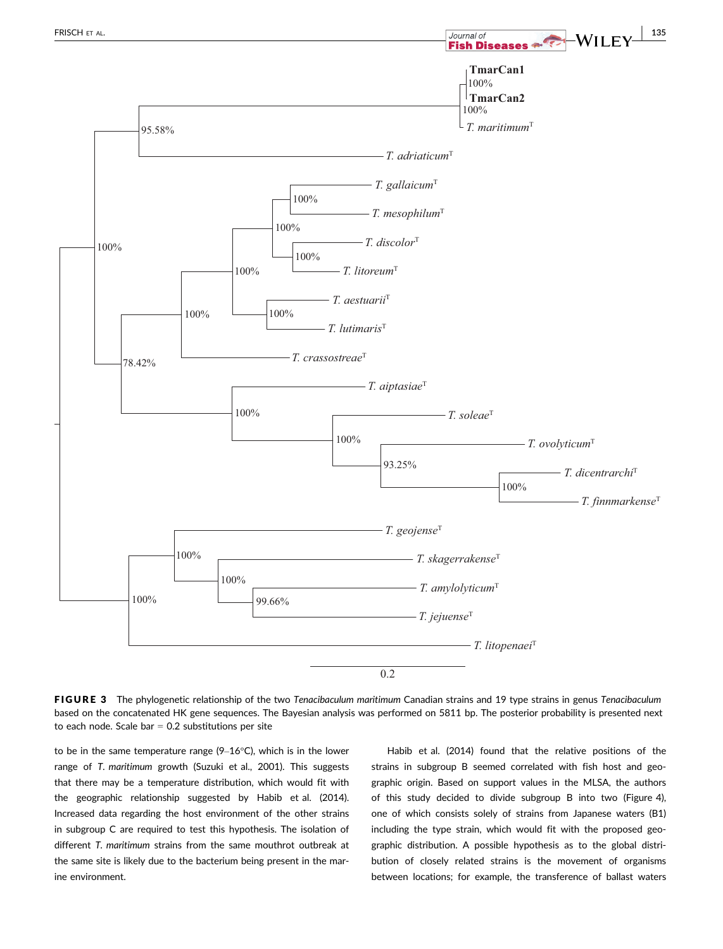

FIGURE 3 The phylogenetic relationship of the two Tenacibaculum maritimum Canadian strains and 19 type strains in genus Tenacibaculum based on the concatenated HK gene sequences. The Bayesian analysis was performed on 5811 bp. The posterior probability is presented next to each node. Scale bar  $= 0.2$  substitutions per site

to be in the same temperature range (9–16°C), which is in the lower range of T. maritimum growth (Suzuki et al., 2001). This suggests that there may be a temperature distribution, which would fit with the geographic relationship suggested by Habib et al. (2014). Increased data regarding the host environment of the other strains in subgroup C are required to test this hypothesis. The isolation of different T. maritimum strains from the same mouthrot outbreak at the same site is likely due to the bacterium being present in the marine environment.

Habib et al. (2014) found that the relative positions of the strains in subgroup B seemed correlated with fish host and geographic origin. Based on support values in the MLSA, the authors of this study decided to divide subgroup B into two (Figure 4), one of which consists solely of strains from Japanese waters (B1) including the type strain, which would fit with the proposed geographic distribution. A possible hypothesis as to the global distribution of closely related strains is the movement of organisms between locations; for example, the transference of ballast waters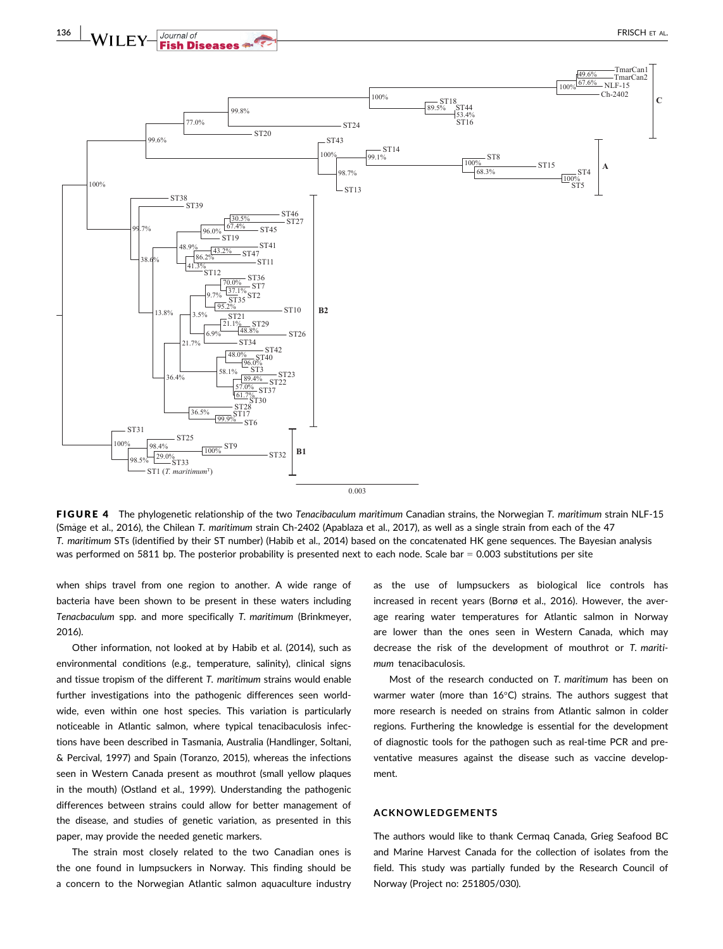

FIGURE 4 The phylogenetic relationship of the two Tenacibaculum maritimum Canadian strains, the Norwegian T. maritimum strain NLF-15 (Smage et al., 2016), the Chilean T. maritimum strain Ch-2402 (Apablaza et al., 2017), as well as a single strain from each of the 47 T. maritimum STs (identified by their ST number) (Habib et al., 2014) based on the concatenated HK gene sequences. The Bayesian analysis was performed on 5811 bp. The posterior probability is presented next to each node. Scale bar = 0.003 substitutions per site

when ships travel from one region to another. A wide range of bacteria have been shown to be present in these waters including Tenacbaculum spp. and more specifically T. maritimum (Brinkmeyer, 2016).

Other information, not looked at by Habib et al. (2014), such as environmental conditions (e.g., temperature, salinity), clinical signs and tissue tropism of the different T. maritimum strains would enable further investigations into the pathogenic differences seen worldwide, even within one host species. This variation is particularly noticeable in Atlantic salmon, where typical tenacibaculosis infections have been described in Tasmania, Australia (Handlinger, Soltani, & Percival, 1997) and Spain (Toranzo, 2015), whereas the infections seen in Western Canada present as mouthrot (small yellow plaques in the mouth) (Ostland et al., 1999). Understanding the pathogenic differences between strains could allow for better management of the disease, and studies of genetic variation, as presented in this paper, may provide the needed genetic markers.

The strain most closely related to the two Canadian ones is the one found in lumpsuckers in Norway. This finding should be a concern to the Norwegian Atlantic salmon aquaculture industry as the use of lumpsuckers as biological lice controls has increased in recent years (Bornø et al., 2016). However, the average rearing water temperatures for Atlantic salmon in Norway are lower than the ones seen in Western Canada, which may decrease the risk of the development of mouthrot or T. maritimum tenacibaculosis.

Most of the research conducted on T. maritimum has been on warmer water (more than 16°C) strains. The authors suggest that more research is needed on strains from Atlantic salmon in colder regions. Furthering the knowledge is essential for the development of diagnostic tools for the pathogen such as real-time PCR and preventative measures against the disease such as vaccine development.

#### ACKNOWLEDGEMENTS

The authors would like to thank Cermaq Canada, Grieg Seafood BC and Marine Harvest Canada for the collection of isolates from the field. This study was partially funded by the Research Council of Norway (Project no: 251805/030).